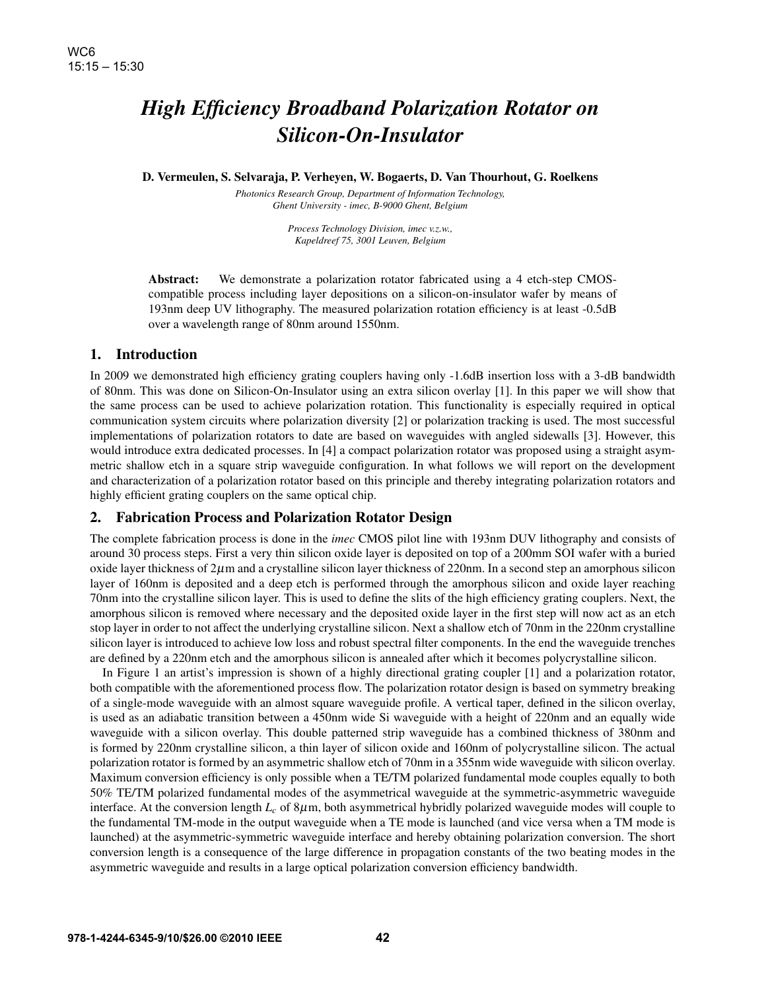# *High Efficiency Broadband Polarization Rotator on Silicon-On-Insulator*

D. Vermeulen, S. Selvaraja, P. Verheyen, W. Bogaerts, D. Van Thourhout, G. Roelkens

*Photonics Research Group, Department of Information Technology, Ghent University - imec, B-9000 Ghent, Belgium*

> *Process Technology Division, imec v.z.w., Kapeldreef 75, 3001 Leuven, Belgium*

Abstract: We demonstrate a polarization rotator fabricated using a 4 etch-step CMOScompatible process including layer depositions on a silicon-on-insulator wafer by means of 193nm deep UV lithography. The measured polarization rotation efficiency is at least -0.5dB over a wavelength range of 80nm around 1550nm.

### 1. Introduction

In 2009 we demonstrated high efficiency grating couplers having only -1.6dB insertion loss with a 3-dB bandwidth of 80nm. This was done on Silicon-On-Insulator using an extra silicon overlay [1]. In this paper we will show that the same process can be used to achieve polarization rotation. This functionality is especially required in optical communication system circuits where polarization diversity [2] or polarization tracking is used. The most successful implementations of polarization rotators to date are based on waveguides with angled sidewalls [3]. However, this would introduce extra dedicated processes. In [4] a compact polarization rotator was proposed using a straight asymmetric shallow etch in a square strip waveguide configuration. In what follows we will report on the development and characterization of a polarization rotator based on this principle and thereby integrating polarization rotators and highly efficient grating couplers on the same optical chip.

## 2. Fabrication Process and Polarization Rotator Design

The complete fabrication process is done in the *imec* CMOS pilot line with 193nm DUV lithography and consists of around 30 process steps. First a very thin silicon oxide layer is deposited on top of a 200mm SOI wafer with a buried oxide layer thickness of  $2\mu$ m and a crystalline silicon layer thickness of  $220$ nm. In a second step an amorphous silicon layer of 160nm is deposited and a deep etch is performed through the amorphous silicon and oxide layer reaching 70nm into the crystalline silicon layer. This is used to define the slits of the high efficiency grating couplers. Next, the amorphous silicon is removed where necessary and the deposited oxide layer in the first step will now act as an etch stop layer in order to not affect the underlying crystalline silicon. Next a shallow etch of 70nm in the 220nm crystalline silicon layer is introduced to achieve low loss and robust spectral filter components. In the end the waveguide trenches are defined by a 220nm etch and the amorphous silicon is annealed after which it becomes polycrystalline silicon.

In Figure 1 an artist's impression is shown of a highly directional grating coupler [1] and a polarization rotator, both compatible with the aforementioned process flow. The polarization rotator design is based on symmetry breaking of a single-mode waveguide with an almost square waveguide profile. A vertical taper, defined in the silicon overlay, is used as an adiabatic transition between a 450nm wide Si waveguide with a height of 220nm and an equally wide waveguide with a silicon overlay. This double patterned strip waveguide has a combined thickness of 380nm and is formed by 220nm crystalline silicon, a thin layer of silicon oxide and 160nm of polycrystalline silicon. The actual polarization rotator is formed by an asymmetric shallow etch of 70nm in a 355nm wide waveguide with silicon overlay. Maximum conversion efficiency is only possible when a TE/TM polarized fundamental mode couples equally to both 50% TE/TM polarized fundamental modes of the asymmetrical waveguide at the symmetric-asymmetric waveguide interface. At the conversion length  $L_c$  of  $8\mu$ m, both asymmetrical hybridly polarized waveguide modes will couple to the fundamental TM-mode in the output waveguide when a TE mode is launched (and vice versa when a TM mode is launched) at the asymmetric-symmetric waveguide interface and hereby obtaining polarization conversion. The short conversion length is a consequence of the large difference in propagation constants of the two beating modes in the asymmetric waveguide and results in a large optical polarization conversion efficiency bandwidth.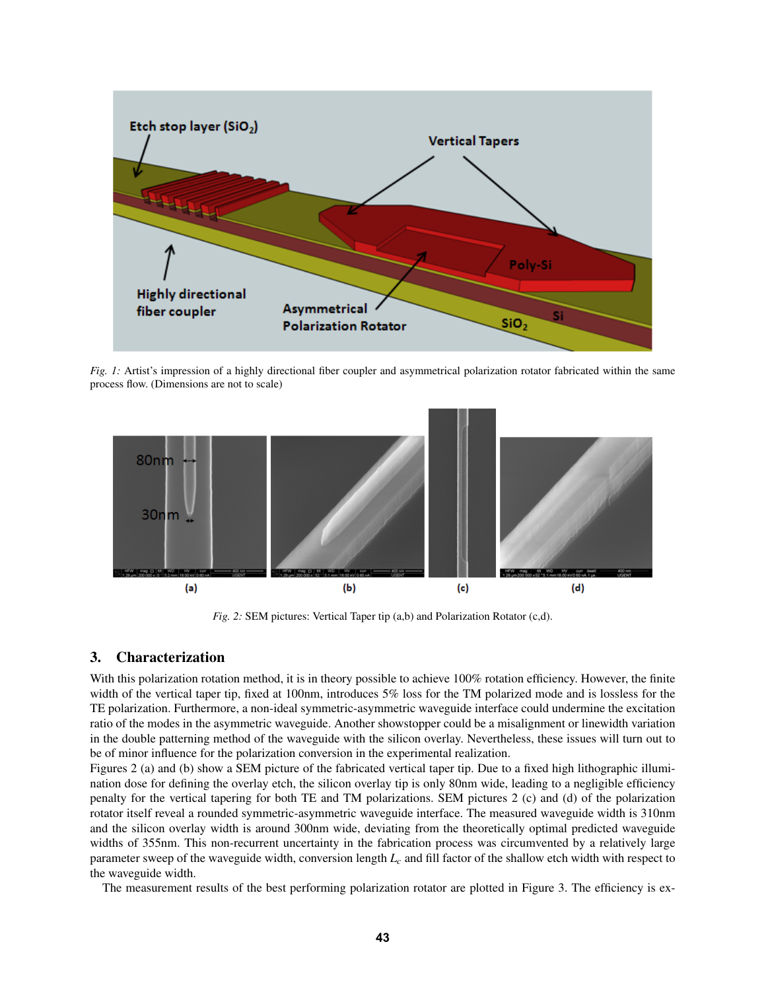

*Fig. 1:* Artist's impression of a highly directional fiber coupler and asymmetrical polarization rotator fabricated within the same process flow. (Dimensions are not to scale)



*Fig. 2:* SEM pictures: Vertical Taper tip (a,b) and Polarization Rotator (c,d).

#### 3. Characterization

With this polarization rotation method, it is in theory possible to achieve 100% rotation efficiency. However, the finite width of the vertical taper tip, fixed at 100nm, introduces 5% loss for the TM polarized mode and is lossless for the TE polarization. Furthermore, a non-ideal symmetric-asymmetric waveguide interface could undermine the excitation ratio of the modes in the asymmetric waveguide. Another showstopper could be a misalignment or linewidth variation in the double patterning method of the waveguide with the silicon overlay. Nevertheless, these issues will turn out to be of minor influence for the polarization conversion in the experimental realization.

Figures 2 (a) and (b) show a SEM picture of the fabricated vertical taper tip. Due to a fixed high lithographic illumination dose for defining the overlay etch, the silicon overlay tip is only 80nm wide, leading to a negligible efficiency penalty for the vertical tapering for both TE and TM polarizations. SEM pictures 2 (c) and (d) of the polarization rotator itself reveal a rounded symmetric-asymmetric waveguide interface. The measured waveguide width is 310nm and the silicon overlay width is around 300nm wide, deviating from the theoretically optimal predicted waveguide widths of 355nm. This non-recurrent uncertainty in the fabrication process was circumvented by a relatively large parameter sweep of the waveguide width, conversion length *L<sup>c</sup>* and fill factor of the shallow etch width with respect to the waveguide width.

The measurement results of the best performing polarization rotator are plotted in Figure 3. The efficiency is ex-